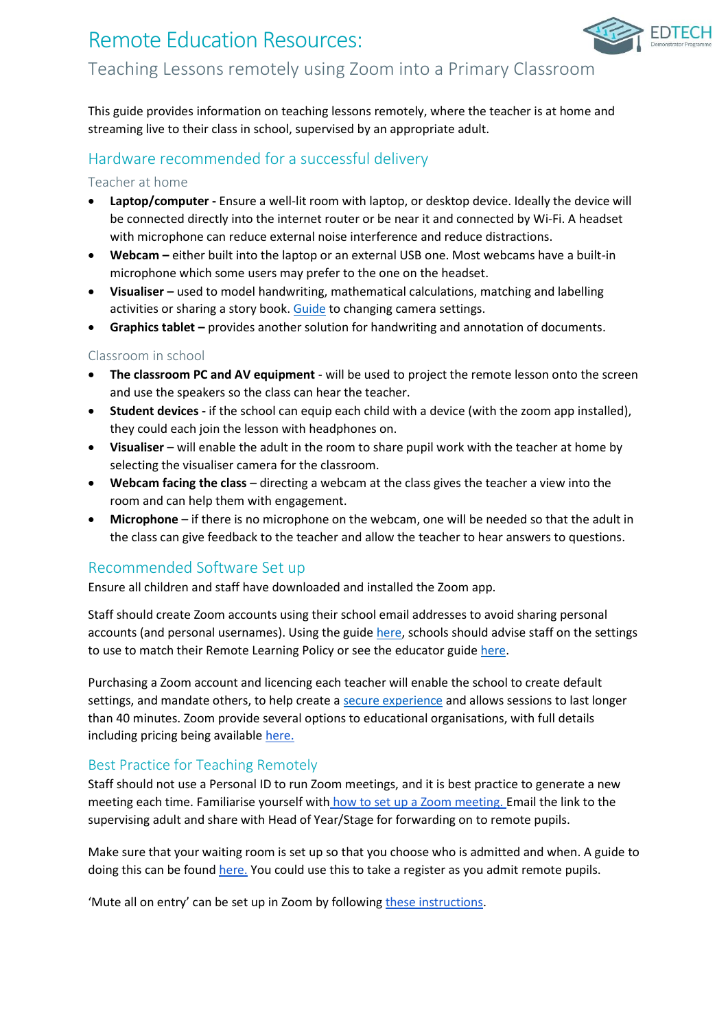# Remote Education Resources: Teaching Lessons remotely using Zoom into a Primary Classroom

FDTFCH

This guide provides information on teaching lessons remotely, where the teacher is at home and streaming live to their class in school, supervised by an appropriate adult.

# Hardware recommended for a successful delivery

## Teacher at home

- **Laptop/computer -** Ensure a well-lit room with laptop, or desktop device. Ideally the device will be connected directly into the internet router or be near it and connected by Wi-Fi. A headset with microphone can reduce external noise interference and reduce distractions.
- **Webcam –** either built into the laptop or an external USB one. Most webcams have a built-in microphone which some users may prefer to the one on the headset.
- **Visualiser –** used to model handwriting, mathematical calculations, matching and labelling activities or sharing a story book. [Guide](https://support.zoom.us/hc/en-us/articles/201362153-Sharing-your-screen-or-desktop-on-Zoom) to changing camera settings.
- **Graphics tablet –** provides another solution for handwriting and annotation of documents.

### Classroom in school

- **The classroom PC and AV equipment** will be used to project the remote lesson onto the screen and use the speakers so the class can hear the teacher.
- **Student devices -** if the school can equip each child with a device (with the zoom app installed), they could each join the lesson with headphones on.
- **Visualiser** will enable the adult in the room to share pupil work with the teacher at home by selecting the visualiser camera for the classroom.
- **Webcam facing the class** directing a webcam at the class gives the teacher a view into the room and can help them with engagement.
- **Microphone** if there is no microphone on the webcam, one will be needed so that the adult in the class can give feedback to the teacher and allow the teacher to hear answers to questions.

# Recommended Software Set up

Ensure all children and staff have downloaded and installed the Zoom app.

Staff should create Zoom accounts using their school email addresses to avoid sharing personal accounts (and personal usernames). Using the guide [here,](https://blog.zoom.us/keep-uninvited-guests-out-of-your-zoom-meeting/) schools should advise staff on the settings to use to match their Remote Learning Policy or see the educator guide [here.](https://explore.zoom.us/docs/en-us/educator-guide.html)

Purchasing a Zoom account and licencing each teacher will enable the school to create default settings, and mandate others, to help create [a secure experience](https://blog.zoom.us/keep-uninvited-guests-out-of-your-zoom-meeting/) and allows sessions to last longer than 40 minutes. Zoom provide several options to educational organisations, with full details including pricing being available [here.](https://zoom.us/buy?plan=education&from=education)

# Best Practice for Teaching Remotely

Staff should not use a Personal ID to run Zoom meetings, and it is best practice to generate a new meeting each time. Familiarise yourself with [how to set up a Zoom meeting.](https://support.zoom.us/hc/en-us/articles/360034967471-Getting-started-guide-for-new-users) Email the link to the supervising adult and share with Head of Year/Stage for forwarding on to remote pupils.

Make sure that your waiting room is set up so that you choose who is admitted and when. A guide to doing this can be found [here.](https://support.zoom.us/hc/en-us/articles/115000332726-Waiting-Room) You could use this to take a register as you admit remote pupils.

'Mute all on entry' can be set up in Zoom by following [these instructions.](https://support.zoom.us/hc/en-us/articles/360060860512-Muting-all-participants-when-they-join-a-meeting)